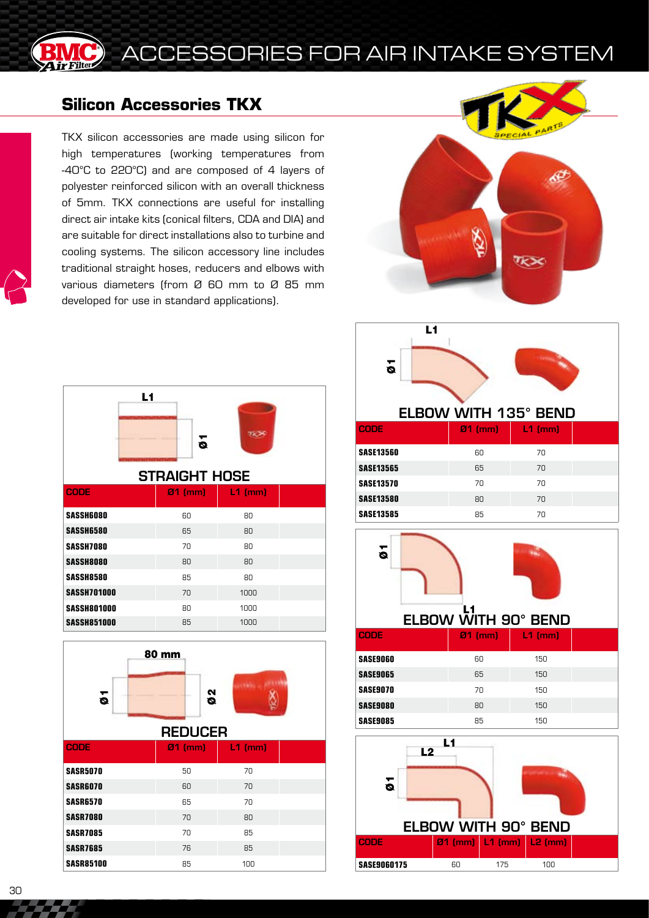

## CCESSORIES FOR AIR INTAKE SYSTEM

## **Silicon Accessories TKX**

TKX silicon accessories are made using silicon for high temperatures (working temperatures from -40°C to 220°C) and are composed of 4 layers of polyester reinforced silicon with an overall thickness of 5mm. TKX connections are useful for installing direct air intake kits (conical filters, CDA and DIA) and are suitable for direct installations also to turbine and cooling systems. The silicon accessory line includes traditional straight hoses, reducers and elbows with various diameters (from Ø 60 mm to Ø 85 mm developed for use in standard applications).



|                      | L1<br>5 |           |  |  |  |
|----------------------|---------|-----------|--|--|--|
| <b>STRAIGHT HOSE</b> |         |           |  |  |  |
| <b>CODE</b>          | Ø1 (mm) | $L1$ (mm) |  |  |  |
| <b>SASSH6080</b>     | 60      | 80        |  |  |  |
| <b>SASSH6580</b>     | 65      | 80        |  |  |  |
| <b>SASSH7080</b>     | 70      | 80        |  |  |  |
| <b>SASSH8080</b>     | 80      | 80        |  |  |  |
| <b>SASSH8580</b>     | 85      | 80        |  |  |  |
| <b>SASSH701000</b>   | 70      | 1000      |  |  |  |
| <b>SASSH801000</b>   | 80      | 1000      |  |  |  |
| <b>SASSH851000</b>   | 85      | 1000      |  |  |  |



**SASR7085** 70 85 **SASR7685** 76 85 **SASR85100** 85 100

ELBOW WITH 135° BEND

L1

 $\overline{\bullet}$ 

| <b>CODE</b>      | $Z1$ (mm) | $L1$ (mm) |  |
|------------------|-----------|-----------|--|
| <b>SASE13560</b> | 60        | 70        |  |
| <b>SASE13565</b> | 65        | 70        |  |
| <b>SASE13570</b> | 70        | 70        |  |
| <b>SASE13580</b> | 80        | 70        |  |
| <b>SASE13585</b> | 85        | 70        |  |



| <b>CODE</b>     | $Q1$ (mm) | $L1$ (mm) |  |
|-----------------|-----------|-----------|--|
| <b>SASE9060</b> | 60        | 150       |  |
| SASE9065        | 65        | 150       |  |
| <b>SASE9070</b> | 70        | 150       |  |
| <b>SASE9080</b> | 80        | 150       |  |
| <b>SASE9085</b> | 85        | 150       |  |